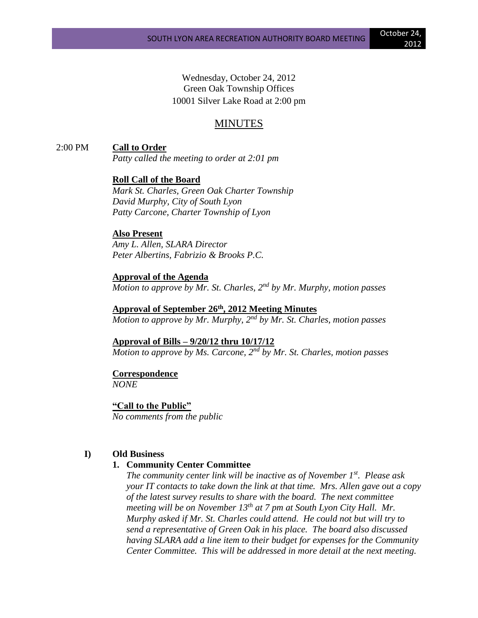Wednesday, October 24, 2012 Green Oak Township Offices 10001 Silver Lake Road at 2:00 pm

# MINUTES

2:00 PM **Call to Order**

*Patty called the meeting to order at 2:01 pm*

**Roll Call of the Board** *Mark St. Charles, Green Oak Charter Township David Murphy, City of South Lyon* 

*Patty Carcone, Charter Township of Lyon*

#### **Also Present**

*Amy L. Allen, SLARA Director Peter Albertins, Fabrizio & Brooks P.C.*

**Approval of the Agenda**

*Motion to approve by Mr. St. Charles, 2nd by Mr. Murphy, motion passes*

**Approval of September 26th, 2012 Meeting Minutes**

*Motion to approve by Mr. Murphy, 2nd by Mr. St. Charles, motion passes*

**Approval of Bills – 9/20/12 thru 10/17/12** *Motion to approve by Ms. Carcone, 2nd by Mr. St. Charles, motion passes*

## **Correspondence**

*NONE*

**"Call to the Public"** *No comments from the public*

### **I) Old Business**

### **1. Community Center Committee**

*The community center link will be inactive as of November 1st. Please ask your IT contacts to take down the link at that time. Mrs. Allen gave out a copy of the latest survey results to share with the board. The next committee meeting will be on November 13th at 7 pm at South Lyon City Hall. Mr. Murphy asked if Mr. St. Charles could attend. He could not but will try to send a representative of Green Oak in his place. The board also discussed having SLARA add a line item to their budget for expenses for the Community Center Committee. This will be addressed in more detail at the next meeting.*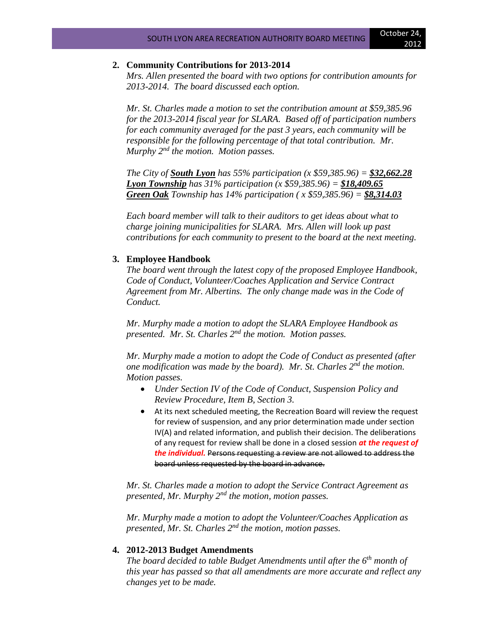# **2. Community Contributions for 2013-2014**

*Mrs. Allen presented the board with two options for contribution amounts for 2013-2014. The board discussed each option.*

*Mr. St. Charles made a motion to set the contribution amount at \$59,385.96 for the 2013-2014 fiscal year for SLARA. Based off of participation numbers for each community averaged for the past 3 years, each community will be responsible for the following percentage of that total contribution. Mr. Murphy 2nd the motion. Motion passes.*

*The City of South Lyon has 55% participation (x \$59,385.96) = \$32,662.28 Lyon Township has 31% participation (x \$59,385.96) = \$18,409.65 Green Oak Township has 14% participation ( x \$59,385.96) = \$8,314.03*

*Each board member will talk to their auditors to get ideas about what to charge joining municipalities for SLARA. Mrs. Allen will look up past contributions for each community to present to the board at the next meeting.*

## **3. Employee Handbook**

*The board went through the latest copy of the proposed Employee Handbook, Code of Conduct, Volunteer/Coaches Application and Service Contract Agreement from Mr. Albertins. The only change made was in the Code of Conduct.* 

*Mr. Murphy made a motion to adopt the SLARA Employee Handbook as presented. Mr. St. Charles 2nd the motion. Motion passes.* 

*Mr. Murphy made a motion to adopt the Code of Conduct as presented (after one modification was made by the board). Mr. St. Charles 2nd the motion. Motion passes.* 

- *Under Section IV of the Code of Conduct, Suspension Policy and Review Procedure, Item B, Section 3.*
- At its next scheduled meeting, the Recreation Board will review the request for review of suspension, and any prior determination made under section IV(A) and related information, and publish their decision. The deliberations of any request for review shall be done in a closed session *at the request of the individual.* Persons requesting a review are not allowed to address the board unless requested by the board in advance.

*Mr. St. Charles made a motion to adopt the Service Contract Agreement as presented, Mr. Murphy 2nd the motion, motion passes.*

*Mr. Murphy made a motion to adopt the Volunteer/Coaches Application as presented, Mr. St. Charles 2nd the motion, motion passes.*

### **4. 2012-2013 Budget Amendments**

*The board decided to table Budget Amendments until after the 6th month of this year has passed so that all amendments are more accurate and reflect any changes yet to be made.*